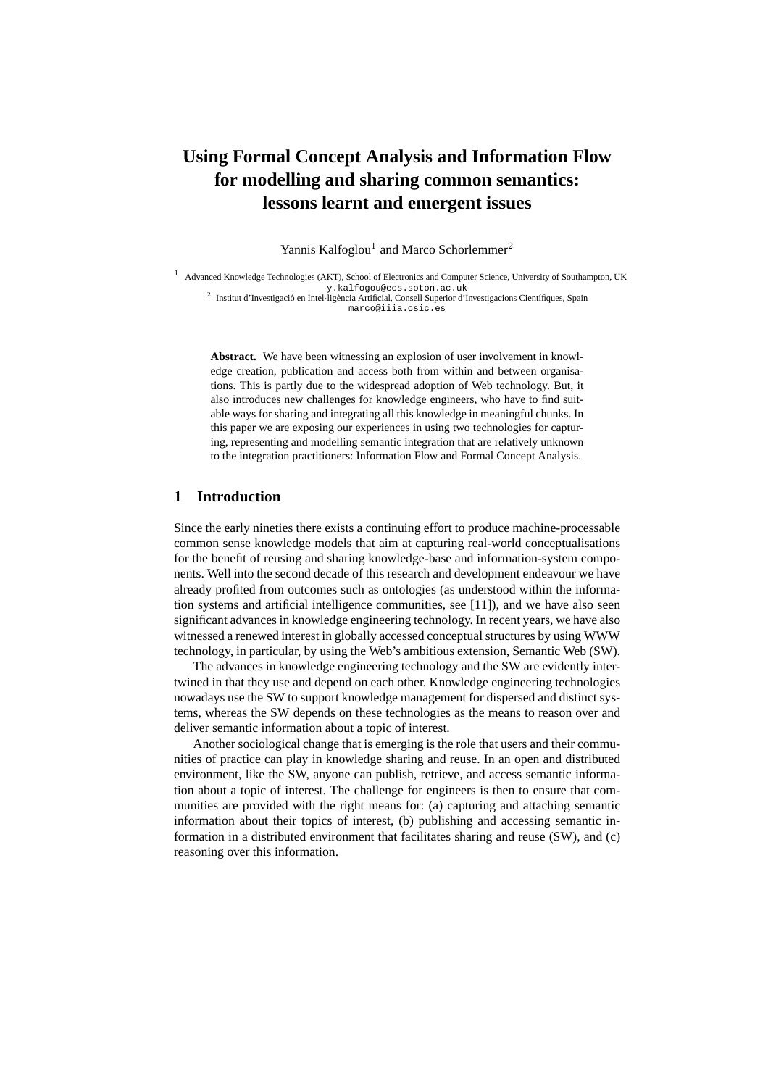# **Using Formal Concept Analysis and Information Flow for modelling and sharing common semantics: lessons learnt and emergent issues**

Yannis Kalfoglou<sup>1</sup> and Marco Schorlemmer<sup>2</sup>

<sup>1</sup> Advanced Knowledge Technologies (AKT), School of Electronics and Computer Science, University of Southampton, UK y.kalfogou@ecs.soton.ac.uk<br><sup>2</sup> Institut d'Investigació en Intel·ligència Artificial, Consell Superior d'Investigacions Científiques, Spain

marco@iiia.csic.es

**Abstract.** We have been witnessing an explosion of user involvement in knowledge creation, publication and access both from within and between organisations. This is partly due to the widespread adoption of Web technology. But, it also introduces new challenges for knowledge engineers, who have to find suitable ways for sharing and integrating all this knowledge in meaningful chunks. In this paper we are exposing our experiences in using two technologies for capturing, representing and modelling semantic integration that are relatively unknown to the integration practitioners: Information Flow and Formal Concept Analysis.

## **1 Introduction**

Since the early nineties there exists a continuing effort to produce machine-processable common sense knowledge models that aim at capturing real-world conceptualisations for the benefit of reusing and sharing knowledge-base and information-system components. Well into the second decade of this research and development endeavour we have already profited from outcomes such as ontologies (as understood within the information systems and artificial intelligence communities, see [11]), and we have also seen significant advances in knowledge engineering technology. In recent years, we have also witnessed a renewed interest in globally accessed conceptual structures by using WWW technology, in particular, by using the Web's ambitious extension, Semantic Web (SW).

The advances in knowledge engineering technology and the SW are evidently intertwined in that they use and depend on each other. Knowledge engineering technologies nowadays use the SW to support knowledge management for dispersed and distinct systems, whereas the SW depends on these technologies as the means to reason over and deliver semantic information about a topic of interest.

Another sociological change that is emerging is the role that users and their communities of practice can play in knowledge sharing and reuse. In an open and distributed environment, like the SW, anyone can publish, retrieve, and access semantic information about a topic of interest. The challenge for engineers is then to ensure that communities are provided with the right means for: (a) capturing and attaching semantic information about their topics of interest, (b) publishing and accessing semantic information in a distributed environment that facilitates sharing and reuse (SW), and (c) reasoning over this information.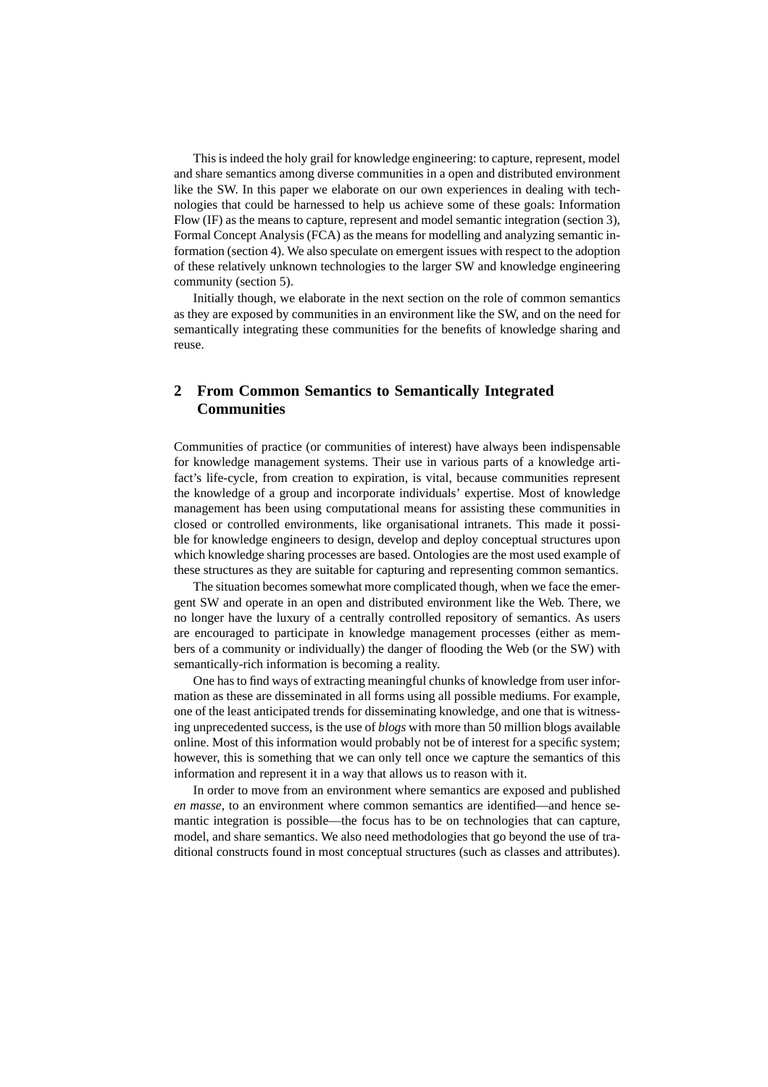This is indeed the holy grail for knowledge engineering: to capture, represent, model and share semantics among diverse communities in a open and distributed environment like the SW. In this paper we elaborate on our own experiences in dealing with technologies that could be harnessed to help us achieve some of these goals: Information Flow (IF) as the means to capture, represent and model semantic integration (section 3), Formal Concept Analysis (FCA) as the means for modelling and analyzing semantic information (section 4). We also speculate on emergent issues with respect to the adoption of these relatively unknown technologies to the larger SW and knowledge engineering community (section 5).

Initially though, we elaborate in the next section on the role of common semantics as they are exposed by communities in an environment like the SW, and on the need for semantically integrating these communities for the benefits of knowledge sharing and reuse.

# **2 From Common Semantics to Semantically Integrated Communities**

Communities of practice (or communities of interest) have always been indispensable for knowledge management systems. Their use in various parts of a knowledge artifact's life-cycle, from creation to expiration, is vital, because communities represent the knowledge of a group and incorporate individuals' expertise. Most of knowledge management has been using computational means for assisting these communities in closed or controlled environments, like organisational intranets. This made it possible for knowledge engineers to design, develop and deploy conceptual structures upon which knowledge sharing processes are based. Ontologies are the most used example of these structures as they are suitable for capturing and representing common semantics.

The situation becomes somewhat more complicated though, when we face the emergent SW and operate in an open and distributed environment like the Web. There, we no longer have the luxury of a centrally controlled repository of semantics. As users are encouraged to participate in knowledge management processes (either as members of a community or individually) the danger of flooding the Web (or the SW) with semantically-rich information is becoming a reality.

One has to find ways of extracting meaningful chunks of knowledge from user information as these are disseminated in all forms using all possible mediums. For example, one of the least anticipated trends for disseminating knowledge, and one that is witnessing unprecedented success, is the use of *blogs* with more than 50 million blogs available online. Most of this information would probably not be of interest for a specific system; however, this is something that we can only tell once we capture the semantics of this information and represent it in a way that allows us to reason with it.

In order to move from an environment where semantics are exposed and published *en masse*, to an environment where common semantics are identified—and hence semantic integration is possible—the focus has to be on technologies that can capture, model, and share semantics. We also need methodologies that go beyond the use of traditional constructs found in most conceptual structures (such as classes and attributes).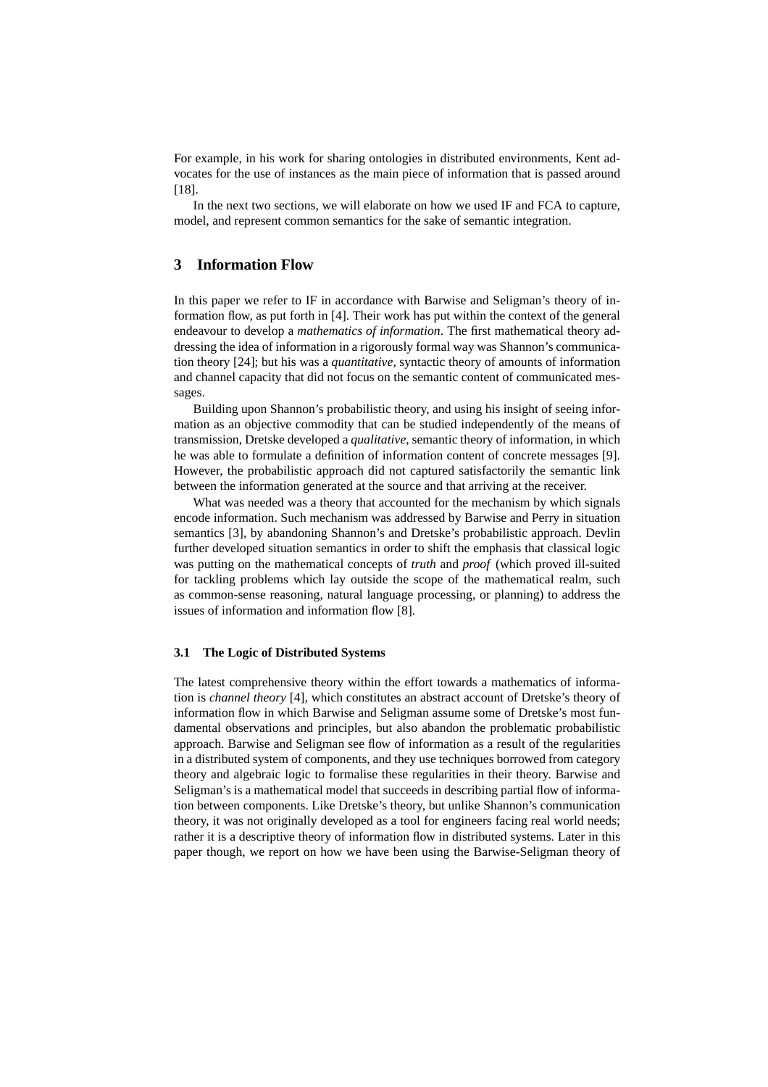For example, in his work for sharing ontologies in distributed environments, Kent advocates for the use of instances as the main piece of information that is passed around [18].

In the next two sections, we will elaborate on how we used IF and FCA to capture, model, and represent common semantics for the sake of semantic integration.

# **3 Information Flow**

In this paper we refer to IF in accordance with Barwise and Seligman's theory of information flow, as put forth in [4]. Their work has put within the context of the general endeavour to develop a *mathematics of information*. The first mathematical theory addressing the idea of information in a rigorously formal way was Shannon's communication theory [24]; but his was a *quantitative*, syntactic theory of amounts of information and channel capacity that did not focus on the semantic content of communicated messages.

Building upon Shannon's probabilistic theory, and using his insight of seeing information as an objective commodity that can be studied independently of the means of transmission, Dretske developed a *qualitative*, semantic theory of information, in which he was able to formulate a definition of information content of concrete messages [9]. However, the probabilistic approach did not captured satisfactorily the semantic link between the information generated at the source and that arriving at the receiver.

What was needed was a theory that accounted for the mechanism by which signals encode information. Such mechanism was addressed by Barwise and Perry in situation semantics [3], by abandoning Shannon's and Dretske's probabilistic approach. Devlin further developed situation semantics in order to shift the emphasis that classical logic was putting on the mathematical concepts of *truth* and *proof* (which proved ill-suited for tackling problems which lay outside the scope of the mathematical realm, such as common-sense reasoning, natural language processing, or planning) to address the issues of information and information flow [8].

#### **3.1 The Logic of Distributed Systems**

The latest comprehensive theory within the effort towards a mathematics of information is *channel theory* [4], which constitutes an abstract account of Dretske's theory of information flow in which Barwise and Seligman assume some of Dretske's most fundamental observations and principles, but also abandon the problematic probabilistic approach. Barwise and Seligman see flow of information as a result of the regularities in a distributed system of components, and they use techniques borrowed from category theory and algebraic logic to formalise these regularities in their theory. Barwise and Seligman's is a mathematical model that succeeds in describing partial flow of information between components. Like Dretske's theory, but unlike Shannon's communication theory, it was not originally developed as a tool for engineers facing real world needs; rather it is a descriptive theory of information flow in distributed systems. Later in this paper though, we report on how we have been using the Barwise-Seligman theory of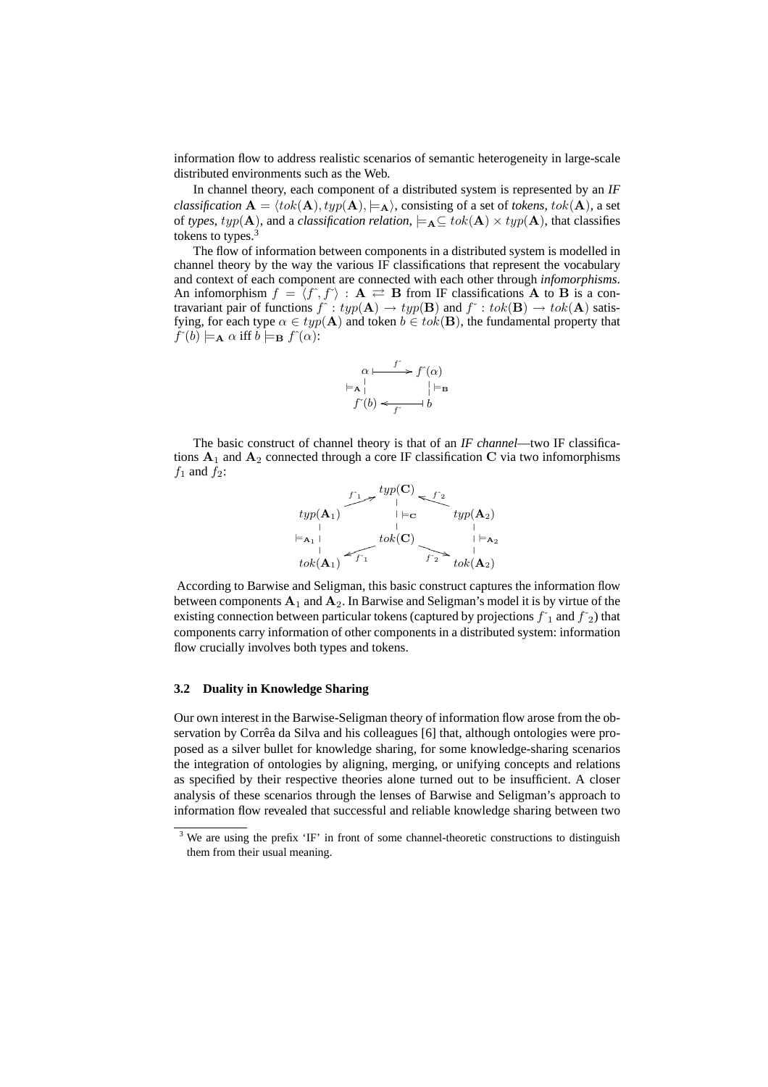information flow to address realistic scenarios of semantic heterogeneity in large-scale distributed environments such as the Web.

In channel theory, each component of a distributed system is represented by an *IF classification*  $\mathbf{A} = \langle tok(\mathbf{A}), typ(\mathbf{A}), \models_{\mathbf{A}} \rangle$ , consisting of a set of *tokens*, tok( $\mathbf{A}$ ), a set of *types*,  $typ(\mathbf{A})$ , and a *classification relation*,  $\models_{\mathbf{A}} \subseteq tok(\mathbf{A}) \times typ(\mathbf{A})$ , that classifies tokens to types.<sup>3</sup>

The flow of information between components in a distributed system is modelled in channel theory by the way the various IF classifications that represent the vocabulary and context of each component are connected with each other through *infomorphisms*. An infomorphism  $f = \langle f \hat{f}, f \hat{f} \rangle : A \rightleftarrows B$  from IF classifications A to B is a contravariant pair of functions  $f^*: typ(\mathbf{A}) \to typ(\mathbf{B})$  and  $f^*: tok(\mathbf{B}) \to tok(\mathbf{A})$  satisfying, for each type  $\alpha \in typ(\mathbf{A})$  and token  $b \in tok(\mathbf{B})$ , the fundamental property that  $f^{\check{}}(b) \models_{\mathbf{A}} \alpha \text{ iff } b \models_{\mathbf{B}} f^{\check{}}(\alpha)$ :



The basic construct of channel theory is that of an *IF channel*—two IF classifications  $A_1$  and  $A_2$  connected through a core IF classification C via two infomorphisms  $f_1$  and  $f_2$ :



According to Barwise and Seligman, this basic construct captures the information flow between components  $A_1$  and  $A_2$ . In Barwise and Seligman's model it is by virtue of the existing connection between particular tokens (captured by projections  $f_1$  and  $f_2$ ) that components carry information of other components in a distributed system: information flow crucially involves both types and tokens.

#### **3.2 Duality in Knowledge Sharing**

Our own interest in the Barwise-Seligman theory of information flow arose from the observation by Corrêa da Silva and his colleagues [6] that, although ontologies were proposed as a silver bullet for knowledge sharing, for some knowledge-sharing scenarios the integration of ontologies by aligning, merging, or unifying concepts and relations as specified by their respective theories alone turned out to be insufficient. A closer analysis of these scenarios through the lenses of Barwise and Seligman's approach to information flow revealed that successful and reliable knowledge sharing between two

 $3$  We are using the prefix 'IF' in front of some channel-theoretic constructions to distinguish them from their usual meaning.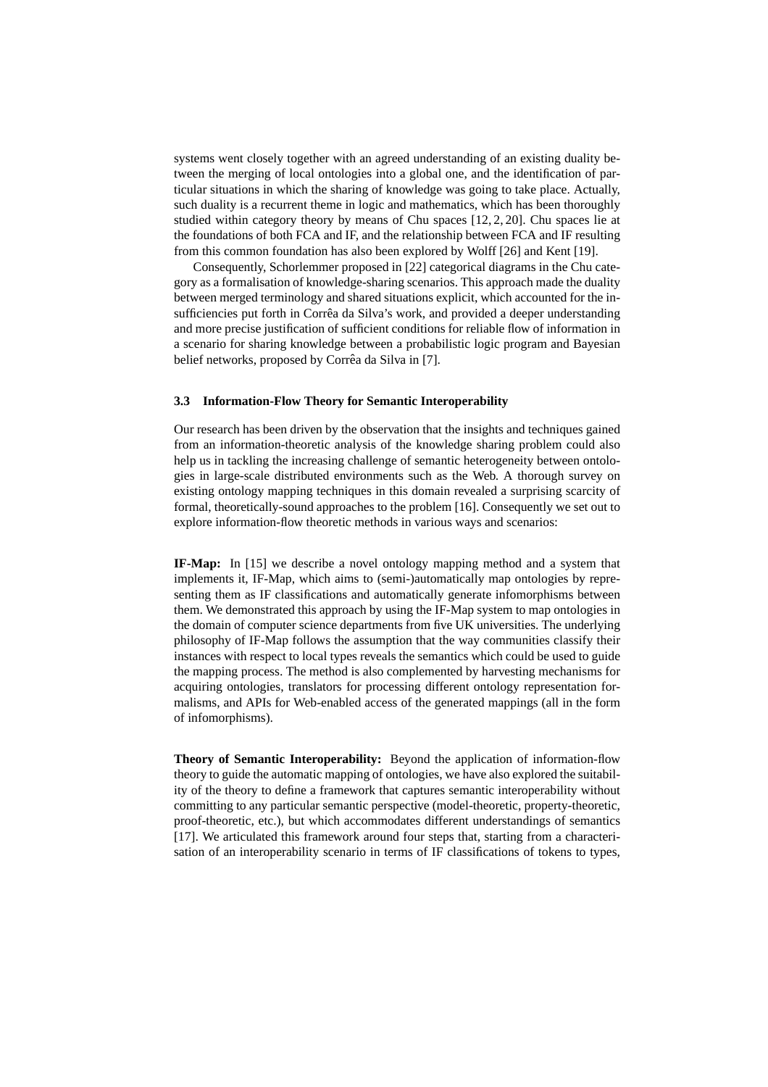systems went closely together with an agreed understanding of an existing duality between the merging of local ontologies into a global one, and the identification of particular situations in which the sharing of knowledge was going to take place. Actually, such duality is a recurrent theme in logic and mathematics, which has been thoroughly studied within category theory by means of Chu spaces [12, 2, 20]. Chu spaces lie at the foundations of both FCA and IF, and the relationship between FCA and IF resulting from this common foundation has also been explored by Wolff [26] and Kent [19].

Consequently, Schorlemmer proposed in [22] categorical diagrams in the Chu category as a formalisation of knowledge-sharing scenarios. This approach made the duality between merged terminology and shared situations explicit, which accounted for the insufficiencies put forth in Corrêa da Silva's work, and provided a deeper understanding and more precise justification of sufficient conditions for reliable flow of information in a scenario for sharing knowledge between a probabilistic logic program and Bayesian belief networks, proposed by Corrêa da Silva in [7].

#### **3.3 Information-Flow Theory for Semantic Interoperability**

Our research has been driven by the observation that the insights and techniques gained from an information-theoretic analysis of the knowledge sharing problem could also help us in tackling the increasing challenge of semantic heterogeneity between ontologies in large-scale distributed environments such as the Web. A thorough survey on existing ontology mapping techniques in this domain revealed a surprising scarcity of formal, theoretically-sound approaches to the problem [16]. Consequently we set out to explore information-flow theoretic methods in various ways and scenarios:

**IF-Map:** In [15] we describe a novel ontology mapping method and a system that implements it, IF-Map, which aims to (semi-)automatically map ontologies by representing them as IF classifications and automatically generate infomorphisms between them. We demonstrated this approach by using the IF-Map system to map ontologies in the domain of computer science departments from five UK universities. The underlying philosophy of IF-Map follows the assumption that the way communities classify their instances with respect to local types reveals the semantics which could be used to guide the mapping process. The method is also complemented by harvesting mechanisms for acquiring ontologies, translators for processing different ontology representation formalisms, and APIs for Web-enabled access of the generated mappings (all in the form of infomorphisms).

**Theory of Semantic Interoperability:** Beyond the application of information-flow theory to guide the automatic mapping of ontologies, we have also explored the suitability of the theory to define a framework that captures semantic interoperability without committing to any particular semantic perspective (model-theoretic, property-theoretic, proof-theoretic, etc.), but which accommodates different understandings of semantics [17]. We articulated this framework around four steps that, starting from a characterisation of an interoperability scenario in terms of IF classifications of tokens to types,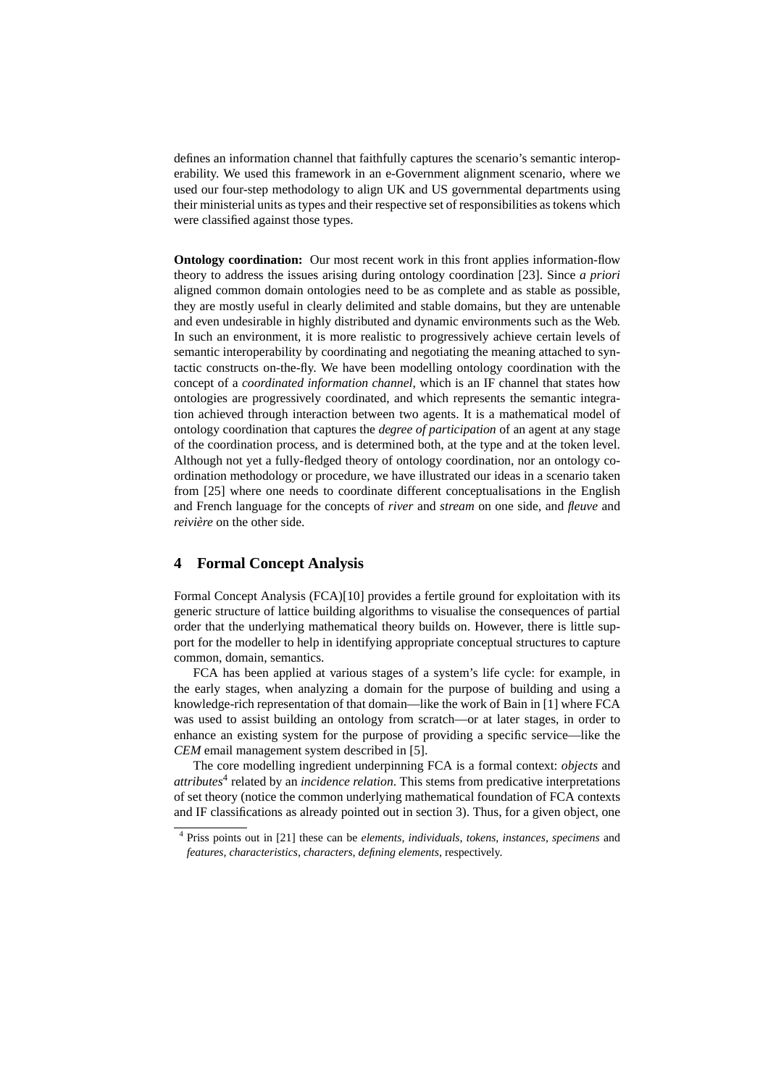defines an information channel that faithfully captures the scenario's semantic interoperability. We used this framework in an e-Government alignment scenario, where we used our four-step methodology to align UK and US governmental departments using their ministerial units as types and their respective set of responsibilities as tokens which were classified against those types.

**Ontology coordination:** Our most recent work in this front applies information-flow theory to address the issues arising during ontology coordination [23]. Since *a priori* aligned common domain ontologies need to be as complete and as stable as possible, they are mostly useful in clearly delimited and stable domains, but they are untenable and even undesirable in highly distributed and dynamic environments such as the Web. In such an environment, it is more realistic to progressively achieve certain levels of semantic interoperability by coordinating and negotiating the meaning attached to syntactic constructs on-the-fly. We have been modelling ontology coordination with the concept of a *coordinated information channel*, which is an IF channel that states how ontologies are progressively coordinated, and which represents the semantic integration achieved through interaction between two agents. It is a mathematical model of ontology coordination that captures the *degree of participation* of an agent at any stage of the coordination process, and is determined both, at the type and at the token level. Although not yet a fully-fledged theory of ontology coordination, nor an ontology coordination methodology or procedure, we have illustrated our ideas in a scenario taken from [25] where one needs to coordinate different conceptualisations in the English and French language for the concepts of *river* and *stream* on one side, and *fleuve* and *reivière* on the other side.

# **4 Formal Concept Analysis**

Formal Concept Analysis (FCA)[10] provides a fertile ground for exploitation with its generic structure of lattice building algorithms to visualise the consequences of partial order that the underlying mathematical theory builds on. However, there is little support for the modeller to help in identifying appropriate conceptual structures to capture common, domain, semantics.

FCA has been applied at various stages of a system's life cycle: for example, in the early stages, when analyzing a domain for the purpose of building and using a knowledge-rich representation of that domain—like the work of Bain in [1] where FCA was used to assist building an ontology from scratch—or at later stages, in order to enhance an existing system for the purpose of providing a specific service—like the *CEM* email management system described in [5].

The core modelling ingredient underpinning FCA is a formal context: *objects* and *attributes*<sup>4</sup> related by an *incidence relation*. This stems from predicative interpretations of set theory (notice the common underlying mathematical foundation of FCA contexts and IF classifications as already pointed out in section 3). Thus, for a given object, one

<sup>4</sup> Priss points out in [21] these can be *elements, individuals, tokens, instances, specimens* and *features, characteristics, characters, defining elements*, respectively.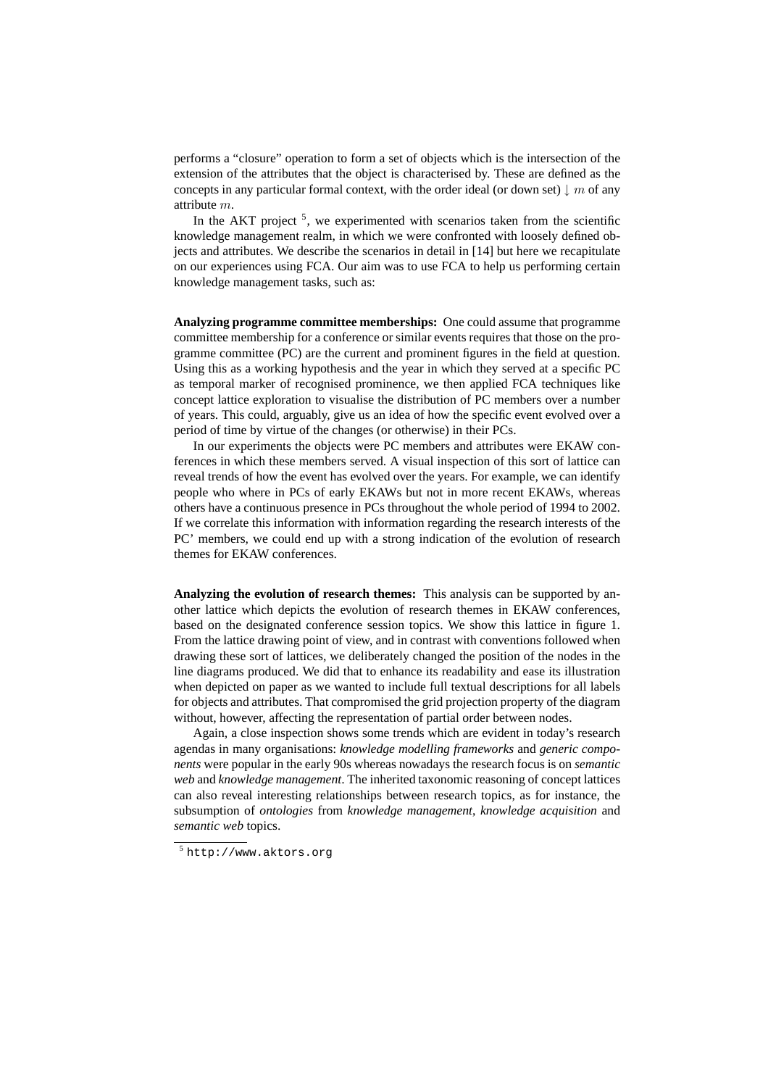performs a "closure" operation to form a set of objects which is the intersection of the extension of the attributes that the object is characterised by. These are defined as the concepts in any particular formal context, with the order ideal (or down set)  $\downarrow$  m of any attribute m.

In the AKT project  $5$ , we experimented with scenarios taken from the scientific knowledge management realm, in which we were confronted with loosely defined objects and attributes. We describe the scenarios in detail in [14] but here we recapitulate on our experiences using FCA. Our aim was to use FCA to help us performing certain knowledge management tasks, such as:

**Analyzing programme committee memberships:** One could assume that programme committee membership for a conference or similar events requires that those on the programme committee (PC) are the current and prominent figures in the field at question. Using this as a working hypothesis and the year in which they served at a specific PC as temporal marker of recognised prominence, we then applied FCA techniques like concept lattice exploration to visualise the distribution of PC members over a number of years. This could, arguably, give us an idea of how the specific event evolved over a period of time by virtue of the changes (or otherwise) in their PCs.

In our experiments the objects were PC members and attributes were EKAW conferences in which these members served. A visual inspection of this sort of lattice can reveal trends of how the event has evolved over the years. For example, we can identify people who where in PCs of early EKAWs but not in more recent EKAWs, whereas others have a continuous presence in PCs throughout the whole period of 1994 to 2002. If we correlate this information with information regarding the research interests of the PC' members, we could end up with a strong indication of the evolution of research themes for EKAW conferences.

**Analyzing the evolution of research themes:** This analysis can be supported by another lattice which depicts the evolution of research themes in EKAW conferences, based on the designated conference session topics. We show this lattice in figure 1. From the lattice drawing point of view, and in contrast with conventions followed when drawing these sort of lattices, we deliberately changed the position of the nodes in the line diagrams produced. We did that to enhance its readability and ease its illustration when depicted on paper as we wanted to include full textual descriptions for all labels for objects and attributes. That compromised the grid projection property of the diagram without, however, affecting the representation of partial order between nodes.

Again, a close inspection shows some trends which are evident in today's research agendas in many organisations: *knowledge modelling frameworks* and *generic components* were popular in the early 90s whereas nowadays the research focus is on *semantic web* and *knowledge management*. The inherited taxonomic reasoning of concept lattices can also reveal interesting relationships between research topics, as for instance, the subsumption of *ontologies* from *knowledge management*, *knowledge acquisition* and *semantic web* topics.

<sup>5</sup> http://www.aktors.org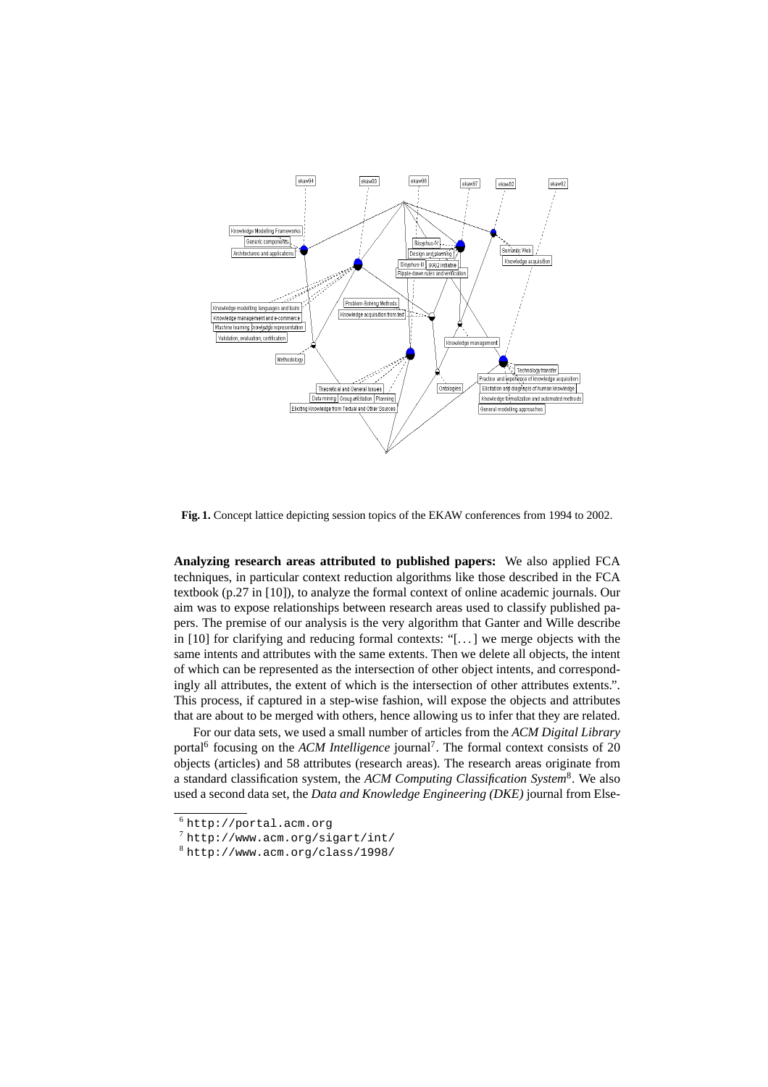

Fig. 1. Concept lattice depicting session topics of the EKAW conferences from 1994 to 2002.

**Analyzing research areas attributed to published papers:** We also applied FCA techniques, in particular context reduction algorithms like those described in the FCA textbook (p.27 in [10]), to analyze the formal context of online academic journals. Our aim was to expose relationships between research areas used to classify published papers. The premise of our analysis is the very algorithm that Ganter and Wille describe in [10] for clarifying and reducing formal contexts: "[. . . ] we merge objects with the same intents and attributes with the same extents. Then we delete all objects, the intent of which can be represented as the intersection of other object intents, and correspondingly all attributes, the extent of which is the intersection of other attributes extents.". This process, if captured in a step-wise fashion, will expose the objects and attributes that are about to be merged with others, hence allowing us to infer that they are related.

For our data sets, we used a small number of articles from the *ACM Digital Library* portal<sup>6</sup> focusing on the *ACM Intelligence* journal<sup>7</sup>. The formal context consists of 20 objects (articles) and 58 attributes (research areas). The research areas originate from a standard classification system, the *ACM Computing Classification System*<sup>8</sup> . We also used a second data set, the *Data and Knowledge Engineering (DKE)* journal from Else-

<sup>6</sup> http://portal.acm.org

<sup>7</sup> http://www.acm.org/sigart/int/

<sup>8</sup> http://www.acm.org/class/1998/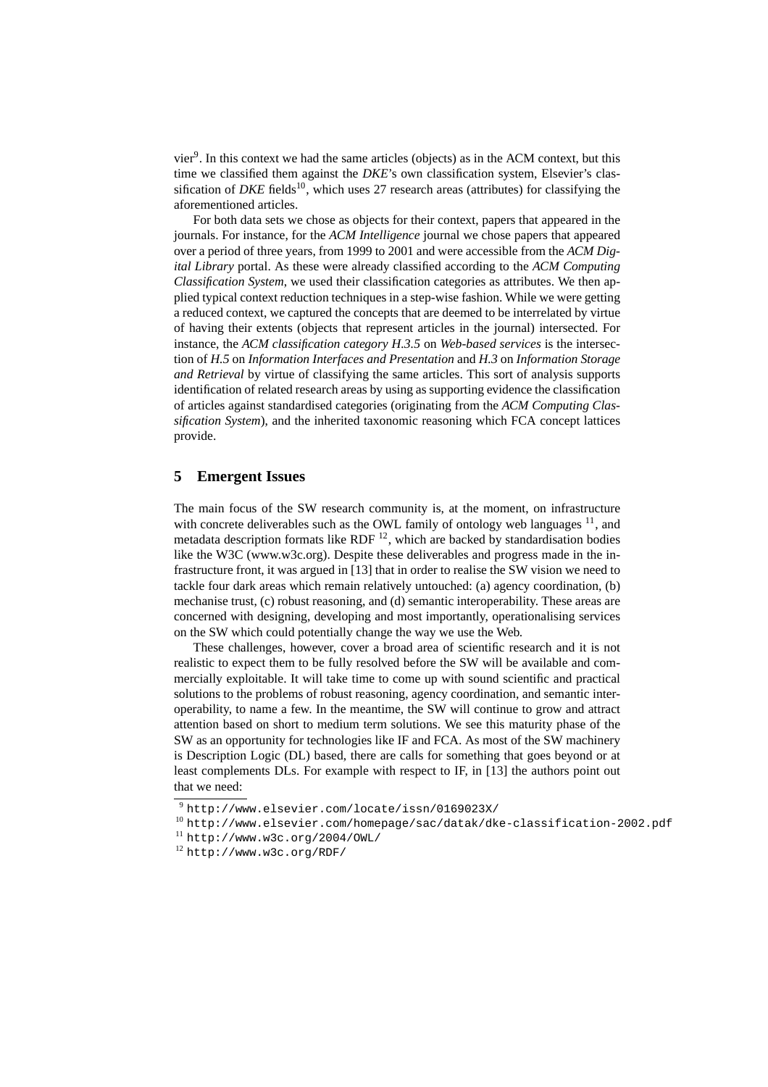vier<sup>9</sup>. In this context we had the same articles (objects) as in the ACM context, but this time we classified them against the *DKE*'s own classification system, Elsevier's classification of  $DKE$  fields<sup>10</sup>, which uses 27 research areas (attributes) for classifying the aforementioned articles.

For both data sets we chose as objects for their context, papers that appeared in the journals. For instance, for the *ACM Intelligence* journal we chose papers that appeared over a period of three years, from 1999 to 2001 and were accessible from the *ACM Digital Library* portal. As these were already classified according to the *ACM Computing Classification System*, we used their classification categories as attributes. We then applied typical context reduction techniques in a step-wise fashion. While we were getting a reduced context, we captured the concepts that are deemed to be interrelated by virtue of having their extents (objects that represent articles in the journal) intersected. For instance, the *ACM classification category H.3.5* on *Web-based services* is the intersection of *H.5* on *Information Interfaces and Presentation* and *H.3* on *Information Storage and Retrieval* by virtue of classifying the same articles. This sort of analysis supports identification of related research areas by using as supporting evidence the classification of articles against standardised categories (originating from the *ACM Computing Classification System*), and the inherited taxonomic reasoning which FCA concept lattices provide.

### **5 Emergent Issues**

The main focus of the SW research community is, at the moment, on infrastructure with concrete deliverables such as the OWL family of ontology web languages  $^{11}$ , and metadata description formats like RDF $<sup>12</sup>$ , which are backed by standardisation bodies</sup> like the W3C (www.w3c.org). Despite these deliverables and progress made in the infrastructure front, it was argued in [13] that in order to realise the SW vision we need to tackle four dark areas which remain relatively untouched: (a) agency coordination, (b) mechanise trust, (c) robust reasoning, and (d) semantic interoperability. These areas are concerned with designing, developing and most importantly, operationalising services on the SW which could potentially change the way we use the Web.

These challenges, however, cover a broad area of scientific research and it is not realistic to expect them to be fully resolved before the SW will be available and commercially exploitable. It will take time to come up with sound scientific and practical solutions to the problems of robust reasoning, agency coordination, and semantic interoperability, to name a few. In the meantime, the SW will continue to grow and attract attention based on short to medium term solutions. We see this maturity phase of the SW as an opportunity for technologies like IF and FCA. As most of the SW machinery is Description Logic (DL) based, there are calls for something that goes beyond or at least complements DLs. For example with respect to IF, in [13] the authors point out that we need:

<sup>9</sup> http://www.elsevier.com/locate/issn/0169023X/

 $^{10}$ http://www.elsevier.com/homepage/sac/datak/dke-classification-2002.pdf

<sup>11</sup> http://www.w3c.org/2004/OWL/

<sup>12</sup> http://www.w3c.org/RDF/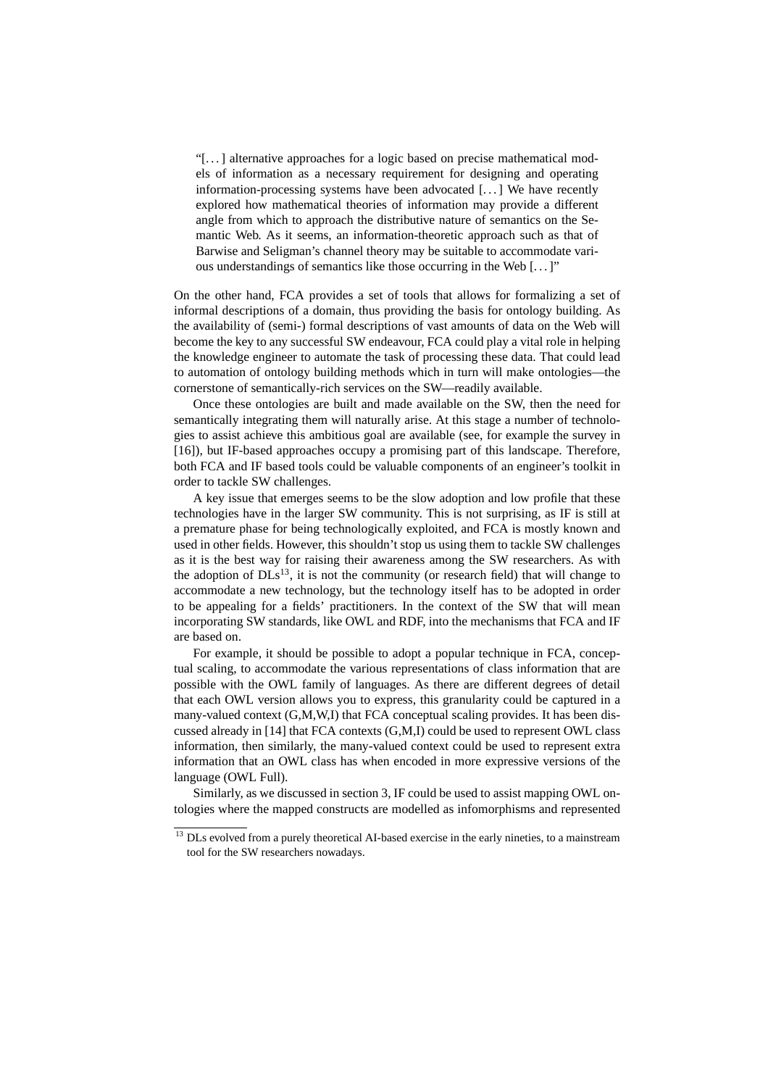"[. . . ] alternative approaches for a logic based on precise mathematical models of information as a necessary requirement for designing and operating information-processing systems have been advocated [...] We have recently explored how mathematical theories of information may provide a different angle from which to approach the distributive nature of semantics on the Semantic Web. As it seems, an information-theoretic approach such as that of Barwise and Seligman's channel theory may be suitable to accommodate various understandings of semantics like those occurring in the Web [. . . ]"

On the other hand, FCA provides a set of tools that allows for formalizing a set of informal descriptions of a domain, thus providing the basis for ontology building. As the availability of (semi-) formal descriptions of vast amounts of data on the Web will become the key to any successful SW endeavour, FCA could play a vital role in helping the knowledge engineer to automate the task of processing these data. That could lead to automation of ontology building methods which in turn will make ontologies—the cornerstone of semantically-rich services on the SW—readily available.

Once these ontologies are built and made available on the SW, then the need for semantically integrating them will naturally arise. At this stage a number of technologies to assist achieve this ambitious goal are available (see, for example the survey in [16]), but IF-based approaches occupy a promising part of this landscape. Therefore, both FCA and IF based tools could be valuable components of an engineer's toolkit in order to tackle SW challenges.

A key issue that emerges seems to be the slow adoption and low profile that these technologies have in the larger SW community. This is not surprising, as IF is still at a premature phase for being technologically exploited, and FCA is mostly known and used in other fields. However, this shouldn't stop us using them to tackle SW challenges as it is the best way for raising their awareness among the SW researchers. As with the adoption of  $D\text{Ls}^{13}$ , it is not the community (or research field) that will change to accommodate a new technology, but the technology itself has to be adopted in order to be appealing for a fields' practitioners. In the context of the SW that will mean incorporating SW standards, like OWL and RDF, into the mechanisms that FCA and IF are based on.

For example, it should be possible to adopt a popular technique in FCA, conceptual scaling, to accommodate the various representations of class information that are possible with the OWL family of languages. As there are different degrees of detail that each OWL version allows you to express, this granularity could be captured in a many-valued context (G,M,W,I) that FCA conceptual scaling provides. It has been discussed already in [14] that FCA contexts (G,M,I) could be used to represent OWL class information, then similarly, the many-valued context could be used to represent extra information that an OWL class has when encoded in more expressive versions of the language (OWL Full).

Similarly, as we discussed in section 3, IF could be used to assist mapping OWL ontologies where the mapped constructs are modelled as infomorphisms and represented

<sup>&</sup>lt;sup>13</sup> DLs evolved from a purely theoretical AI-based exercise in the early nineties, to a mainstream tool for the SW researchers nowadays.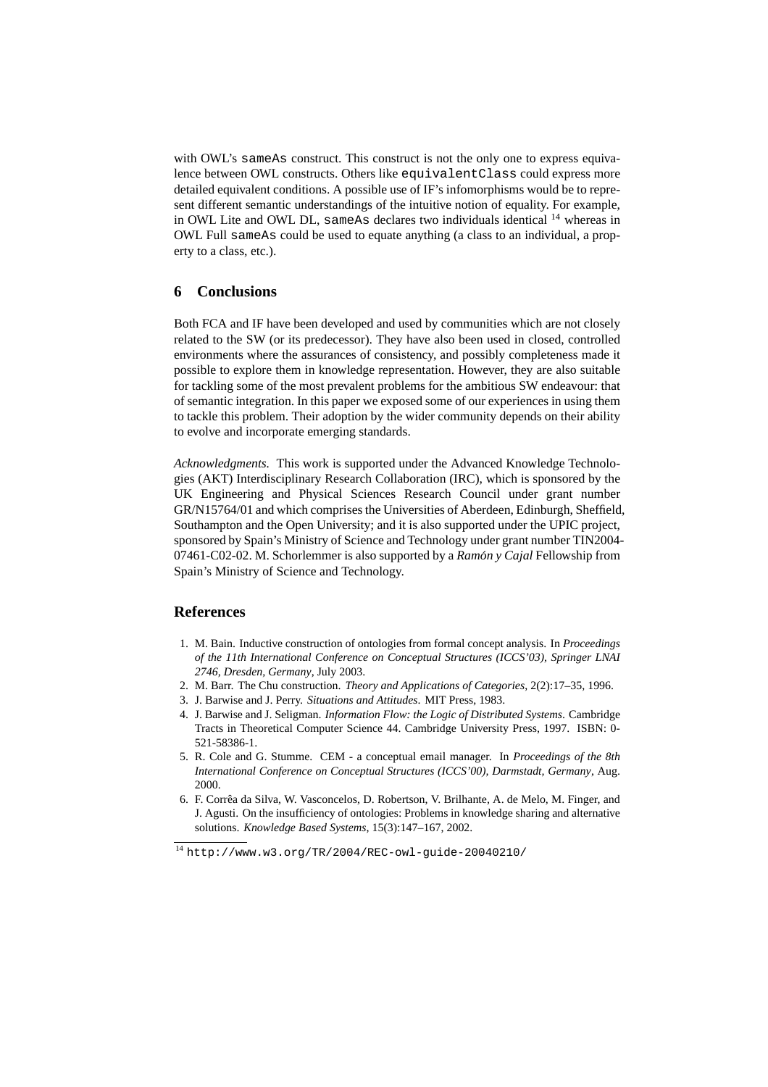with OWL's sameAs construct. This construct is not the only one to express equivalence between OWL constructs. Others like equivalentClass could express more detailed equivalent conditions. A possible use of IF's infomorphisms would be to represent different semantic understandings of the intuitive notion of equality. For example, in OWL Lite and OWL DL, sameAs declares two individuals identical <sup>14</sup> whereas in OWL Full sameAs could be used to equate anything (a class to an individual, a property to a class, etc.).

### **6 Conclusions**

Both FCA and IF have been developed and used by communities which are not closely related to the SW (or its predecessor). They have also been used in closed, controlled environments where the assurances of consistency, and possibly completeness made it possible to explore them in knowledge representation. However, they are also suitable for tackling some of the most prevalent problems for the ambitious SW endeavour: that of semantic integration. In this paper we exposed some of our experiences in using them to tackle this problem. Their adoption by the wider community depends on their ability to evolve and incorporate emerging standards.

*Acknowledgments.* This work is supported under the Advanced Knowledge Technologies (AKT) Interdisciplinary Research Collaboration (IRC), which is sponsored by the UK Engineering and Physical Sciences Research Council under grant number GR/N15764/01 and which comprises the Universities of Aberdeen, Edinburgh, Sheffield, Southampton and the Open University; and it is also supported under the UPIC project, sponsored by Spain's Ministry of Science and Technology under grant number TIN2004- 07461-C02-02. M. Schorlemmer is also supported by a *Ramon y Cajal ´* Fellowship from Spain's Ministry of Science and Technology.

### **References**

- 1. M. Bain. Inductive construction of ontologies from formal concept analysis. In *Proceedings of the 11th International Conference on Conceptual Structures (ICCS'03), Springer LNAI 2746, Dresden, Germany*, July 2003.
- 2. M. Barr. The Chu construction. *Theory and Applications of Categories*, 2(2):17–35, 1996.
- 3. J. Barwise and J. Perry. *Situations and Attitudes*. MIT Press, 1983.
- 4. J. Barwise and J. Seligman. *Information Flow: the Logic of Distributed Systems*. Cambridge Tracts in Theoretical Computer Science 44. Cambridge University Press, 1997. ISBN: 0- 521-58386-1.
- 5. R. Cole and G. Stumme. CEM a conceptual email manager. In *Proceedings of the 8th International Conference on Conceptual Structures (ICCS'00), Darmstadt, Germany*, Aug. 2000.
- 6. F. Correa da Silva, W. Vasconcelos, D. Robertson, V. Brilhante, A. de Melo, M. Finger, and ˆ J. Agusti. On the insufficiency of ontologies: Problems in knowledge sharing and alternative solutions. *Knowledge Based Systems*, 15(3):147–167, 2002.

<sup>14</sup> http://www.w3.org/TR/2004/REC-owl-guide-20040210/